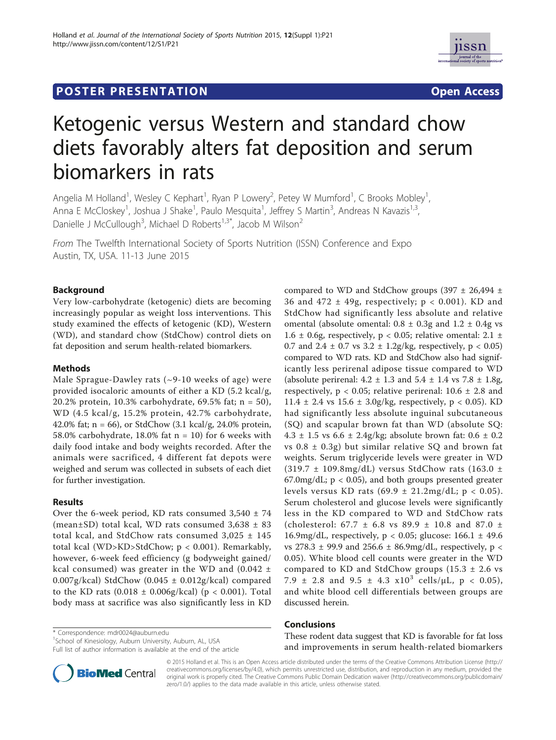# **POSTER PRESENTATION CONSUMING THE SECOND CONSUMING THE SECOND CONSUMING THE SECOND CONSUMING THE SECOND CONSUMING THE SECOND CONSUMING THE SECOND CONSUMING THE SECOND CONSUMING THE SECOND CONSUMING THE SECOND CONSUMING**



# Ketogenic versus Western and standard chow diets favorably alters fat deposition and serum biomarkers in rats

Angelia M Holland<sup>1</sup>, Wesley C Kephart<sup>1</sup>, Ryan P Lowery<sup>2</sup>, Petey W Mumford<sup>1</sup>, C Brooks Mobley<sup>1</sup> , Anna E McCloskey<sup>1</sup>, Joshua J Shake<sup>1</sup>, Paulo Mesquita<sup>1</sup>, Jeffrey S Martin<sup>3</sup>, Andreas N Kavazis<sup>1,3</sup>, Danielle J McCullough<sup>3</sup>, Michael D Roberts<sup>1,3\*</sup>, Jacob M Wilson<sup>2</sup>

From The Twelfth International Society of Sports Nutrition (ISSN) Conference and Expo Austin, TX, USA. 11-13 June 2015

### Background

Very low-carbohydrate (ketogenic) diets are becoming increasingly popular as weight loss interventions. This study examined the effects of ketogenic (KD), Western (WD), and standard chow (StdChow) control diets on fat deposition and serum health-related biomarkers.

#### Methods

Male Sprague-Dawley rats (~9-10 weeks of age) were provided isocaloric amounts of either a KD (5.2 kcal/g, 20.2% protein, 10.3% carbohydrate, 69.5% fat; n = 50), WD (4.5 kcal/g, 15.2% protein, 42.7% carbohydrate, 42.0% fat; n = 66), or StdChow (3.1 kcal/g, 24.0% protein, 58.0% carbohydrate, 18.0% fat  $n = 10$ ) for 6 weeks with daily food intake and body weights recorded. After the animals were sacrificed, 4 different fat depots were weighed and serum was collected in subsets of each diet for further investigation.

#### Results

Over the 6-week period, KD rats consumed  $3,540 \pm 74$ (mean $\pm$ SD) total kcal, WD rats consumed 3,638  $\pm$  83 total kcal, and StdChow rats consumed 3,025 ± 145 total kcal (WD>KD>StdChow; p < 0.001). Remarkably, however, 6-week feed efficiency (g bodyweight gained/ kcal consumed) was greater in the WD and  $(0.042 \pm$ 0.007g/kcal) StdChow  $(0.045 \pm 0.012$ g/kcal) compared to the KD rats  $(0.018 \pm 0.006g/kcal)$  (p < 0.001). Total body mass at sacrifice was also significantly less in KD

\* Correspondence: mdr0024@auburn.edu

<sup>1</sup>School of Kinesiology, Auburn University, Auburn, AL, USA Full list of author information is available at the end of the article

compared to WD and StdChow groups (397  $\pm$  26,494  $\pm$ 36 and 472  $\pm$  49g, respectively; p < 0.001). KD and StdChow had significantly less absolute and relative omental (absolute omental:  $0.8 \pm 0.3$ g and  $1.2 \pm 0.4$ g vs 1.6  $\pm$  0.6g, respectively, p < 0.05; relative omental: 2.1  $\pm$ 0.7 and 2.4  $\pm$  0.7 vs 3.2  $\pm$  1.2g/kg, respectively, p < 0.05) compared to WD rats. KD and StdChow also had significantly less perirenal adipose tissue compared to WD (absolute perirenal:  $4.2 \pm 1.3$  and  $5.4 \pm 1.4$  vs  $7.8 \pm 1.8$ g, respectively,  $p < 0.05$ ; relative perirenal:  $10.6 \pm 2.8$  and 11.4  $\pm$  2.4 vs 15.6  $\pm$  3.0g/kg, respectively, p < 0.05). KD had significantly less absolute inguinal subcutaneous (SQ) and scapular brown fat than WD (absolute SQ: 4.3  $\pm$  1.5 vs 6.6  $\pm$  2.4g/kg; absolute brown fat: 0.6  $\pm$  0.2 vs  $0.8 \pm 0.3$ g) but similar relative SQ and brown fat weights. Serum triglyceride levels were greater in WD  $(319.7 \pm 109.8 \text{mg/dL})$  versus StdChow rats  $(163.0 \pm 109.8 \text{mg/dL})$  $67.0$ mg/dL;  $p < 0.05$ ), and both groups presented greater levels versus KD rats  $(69.9 \pm 21.2 \text{mg/dL}; p < 0.05)$ . Serum cholesterol and glucose levels were significantly less in the KD compared to WD and StdChow rats (cholesterol:  $67.7 \pm 6.8$  vs  $89.9 \pm 10.8$  and  $87.0 \pm 10.8$ 16.9mg/dL, respectively,  $p < 0.05$ ; glucose: 166.1  $\pm$  49.6 vs 278.3  $\pm$  99.9 and 256.6  $\pm$  86.9mg/dL, respectively, p < 0.05). White blood cell counts were greater in the WD compared to KD and StdChow groups  $(15.3 \pm 2.6 \text{ vs }$ 7.9  $\pm$  2.8 and 9.5  $\pm$  4.3  $\times10^{3}$  cells/ $\mu$ L, p < 0.05), and white blood cell differentials between groups are discussed herein.

## Conclusions

These rodent data suggest that KD is favorable for fat loss and improvements in serum health-related biomarkers



© 2015 Holland et al. This is an Open Access article distributed under the terms of the Creative Commons Attribution License (http:// creativecommons.org/licenses/by/4.0), which permits unrestricted use, distribution, and reproduction in any medium, provided the original work is properly cited. The Creative Commons Public Domain Dedication waiver (http://creativecommons.org/publicdomain/ zero/1.0/) applies to the data made available in this article, unless otherwise stated.